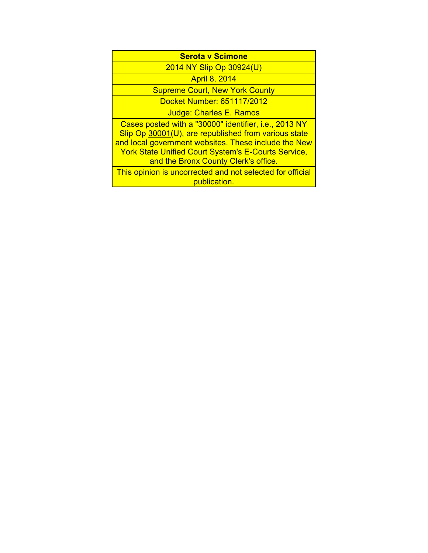| <b>Serota v Scimone</b>                                                                                                                                                                                                                                                     |
|-----------------------------------------------------------------------------------------------------------------------------------------------------------------------------------------------------------------------------------------------------------------------------|
| 2014 NY Slip Op 30924(U)                                                                                                                                                                                                                                                    |
| <b>April 8, 2014</b>                                                                                                                                                                                                                                                        |
| <b>Supreme Court, New York County</b>                                                                                                                                                                                                                                       |
| Docket Number: 651117/2012                                                                                                                                                                                                                                                  |
| Judge: Charles E. Ramos                                                                                                                                                                                                                                                     |
| Cases posted with a "30000" identifier, i.e., 2013 NY<br>Slip Op 30001(U), are republished from various state<br>and local government websites. These include the New<br><b>York State Unified Court System's E-Courts Service,</b><br>and the Bronx County Clerk's office. |
| This opinion is uncorrected and not selected for official<br>publication.                                                                                                                                                                                                   |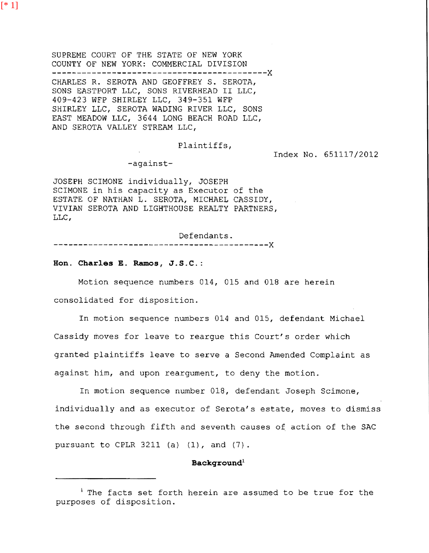[\* 1]

SUPREME COURT OF THE STATE OF NEW YORK COUNTY OF NEW YORK: COMMERCIAL DIVISION --------------------- ---------------------x CHARLES R. SEROTA AND GEOFFREY S. SEROTA, SONS EASTPORT LLC, SONS RIVERHEAD II LLC, 409-423 WFP SHIRLEY LLC, 349-351 WFP SHIRLEY LLC, SEROTA WADING RIVER LLC, SONS EAST MEADOW LLC, 3644 LONG BEACH ROAD LLC, AND SEROTA VALLEY STREAM LLC,

Plaintiffs,

Index No. 651117/2012

-against-

JOSEPH SCIMONE individually, JOSEPH SCIMONE in his capacity as Executor of the ESTATE OF NATHAN L. SEROTA, MICHAEL CASSIDY, VIVIAN SEROTA AND LIGHTHOUSE REALTY PARTNERS, LLC,

Defendants. -------- ---------------------------------x

### **Hon. Charles E. Ramos, J.S.C.:**

Motion sequence numbers 014, 015 and 018 are herein consolidated for disposition.

In motion sequence numbers 014 and 015, defendant Michael Cassidy moves for leave to reargue this Court's order which granted plaintiffs leave to serve a Second Amended Complaint as against him, and upon reargument, to deny the motion.

In motion sequence number 018, defendant Joseph Scimone, individually and as executor of Serota's estate, moves to dismiss the second through fifth and seventh causes of action of the SAC pursuant to CPLR 3211 (a} (1), and (7}.

### **Backqround<sup>1</sup>**

<sup>&</sup>lt;sup>1</sup> The facts set forth herein are assumed to be true for the purposes of disposition.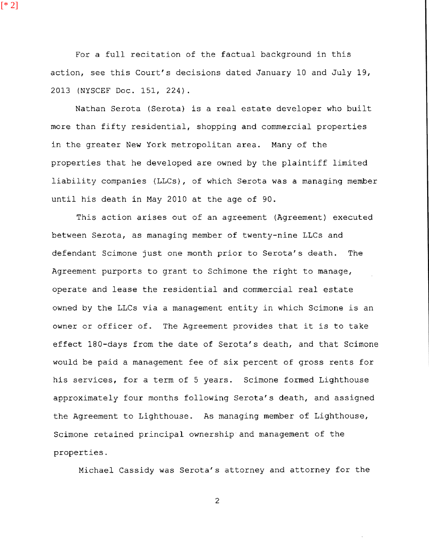For a full recitation of the factual background in this action, see this Court's decisions dated January 10 and July 19, 2013 (NYSCEF Doc. 151, 224).

Nathan Serota (Serota) is a real estate developer who built more than fifty residential, shopping and commercial properties in the greater New York metropolitan area. Many of the properties that he developed are owned by the plaintiff limited liability companies (LLCs), of which Serota was a managing member until his death in May 2010 at the age of 90.

This action arises out of an agreement (Agreement) executed between Serota, as managing member of twenty-nine LLCs and defendant Scimone just one month prior to Serota's death. The Agreement purports to grant to Schimone the right to manage, operate and lease the residential and commercial real estate owned by the LLCs via a management entity in which Scimone is an owner or officer of. The Agreement provides that it is to take effect 180-days from the date of Serota's death, and that Scimone would be paid a management fee of six percent of gross rents for his services, for a term of 5 years. Scimone formed Lighthouse approximately four months following Serota's death, and assigned the Agreement to Lighthouse. As managing member of Lighthouse, Scimone retained principal ownership and management of the properties.

Michael Cassidy was Serota's attorney and attorney for the

2

[\* 2]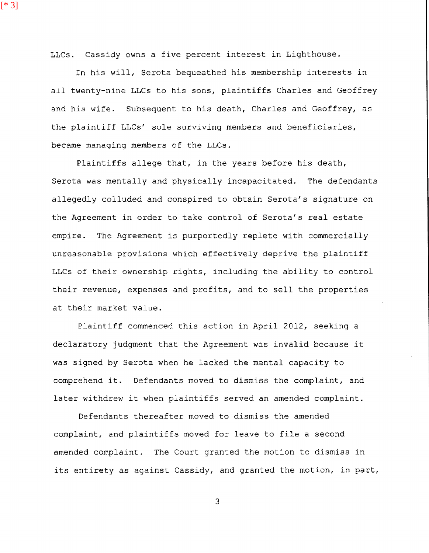LLCs. Cassidy owns a five percent interest in Lighthouse.

[\* 3]

In his will, Serota bequeathed his membership interests in all twenty-nine LLCs to his sons, plaintiffs Charles and Geoffrey and his wife. Subsequent to his death, Charles and Geoffrey, as the plaintiff LLCs' sole surviving members and beneficiaries, became managing members of the LLCs.

Plaintiffs allege that, in the years before his death, Serota was mentally and physically incapacitated. The defendants allegedly colluded and conspired to obtain Serota's signature on the Agreement in order to take control of Serota's real estate empire. The Agreement is purportedly replete with commercially unreasonable provisions which effectively deprive the plaintiff LLCs of their ownership rights, including the ability to control their revenue, expenses and profits, and to sell the properties at their market value.

Plaintiff commenced this action in April 2012, seeking a declaratory judgment that the Agreement was invalid because it was signed by Serota when he lacked the mental capacity to comprehend it. Defendants moved to dismiss the complaint, and later withdrew it when plaintiffs served an amended complaint.

Defendants thereafter moved to dismiss the amended complaint, and plaintiffs moved for leave to file a second amended complaint. The Court granted the motion to dismiss in its entirety as against Cassidy, and granted the motion, in part,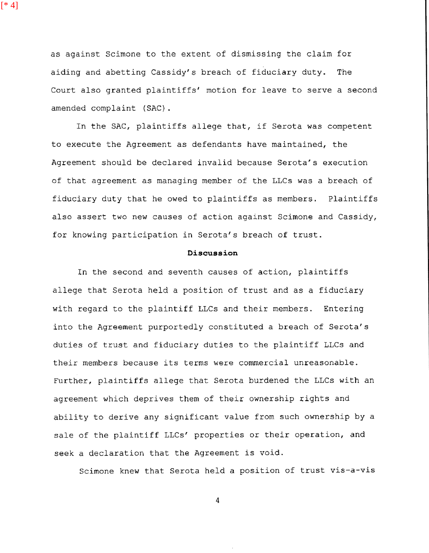as against Scimone to the extent of dismissing the claim for aiding and abetting Cassidy's breach of fiduciary duty. The

[\* 4]

Court also granted plaintiffs' motion for leave to serve a second amended complaint (SAC) .

In the SAC, plaintiffs allege that, if Serota was competent to execute the Agreement as defendants have maintained, the Agreement should be declared invalid because Serota's execution of that agreement as managing member of the LLCs was a breach of fiduciary duty that he owed to plaintiffs as members. Plaintiffs also assert two new causes of action against Scimone and Cassidy, for knowing participation in Serota's breach of trust.

#### **Discussion**

In the second and seventh causes of action, plaintiffs allege that Serota held a position of trust and as a fiduciary with regard to the plaintiff LLCs and their members. Entering into the Agreement purportedly constituted a breach of Serota's duties of trust and fiduciary duties to the plaintiff LLCs and their members because its terms were commercial unreasonable. Further, plaintiffs allege that Serota burdened the LLCs with an agreement which deprives them of their ownership rights and ability to derive any significant value from such ownership by a sale of the plaintiff LLCs' properties or their operation, and seek a declaration that the Agreement is void.

Scimone knew that Serota held a position of trust vis-a-vis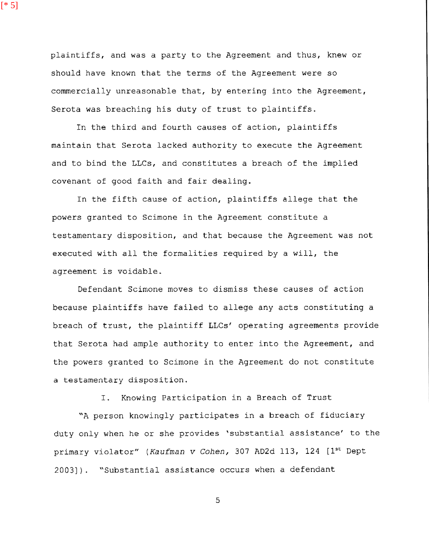plaintiffs, and was a party to the Agreement and thus, knew or should have known that the terms of the Agreement were so commercially unreasonable that, by entering into the Agreement, Serota was breaching his duty of trust to plaintiffs.

In the third and fourth causes of action, plaintiffs maintain that Serota lacked authority to execute the Agreement and to bind the LLCs, and constitutes a breach of the implied covenant of good faith and fair dealing.

In the fifth cause of action, plaintiffs allege that the powers granted to Scimone in the Agreement constitute a testamentary disposition, and that because the Agreement was not executed with all the formalities required by a will, the agreement is voidable.

Defendant Scimone moves to dismiss these causes of action because plaintiffs have failed to allege any acts constituting a breach of trust, the plaintiff LLCs' operating agreements provide that Serota had ample authority to enter into the Agreement, and the powers granted to Scimone in the Agreement do not constitute a testamentary disposition.

I. Knowing Participation in a Breach of Trust

"A person knowingly participates in a breach of fiduciary duty only when he or she provides 'substantial assistance' to the primary violator" (Kaufman v Cohen, 307 AD2d 113, 124 [1<sup>st</sup> Dept 2003]). "Substantial assistance occurs when a defendant

5

 $[ * 5]$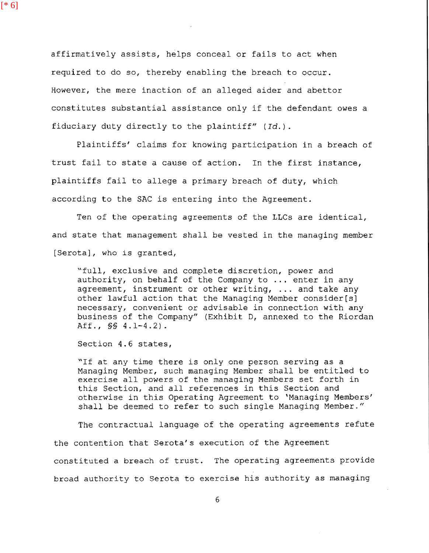affirmatively assists, helps conceal or fails to act when required to do so, thereby enabling the breach to occur. However, the mere inaction of an alleged aider and abettor constitutes substantial assistance only if the defendant owes a fiduciary duty directly to the plaintiff" *(Id.).* 

Plaintiffs' claims for knowing participation in a breach of trust fail to state a cause of action. In the first instance, plaintiffs fail to allege a primary breach of duty, which according to the SAC is entering into the Agreement.

Ten of the operating agreements of the LLCs are identical, and state that management shall be vested in the managing member [Serota], who is granted,

"full, exclusive and complete discretion, power and authority, on behalf of the Company to ... enter in any agreement, instrument or other writing, ... and take any other lawful action that the Managing Member consider[s] necessary, convenient or advisable in connection with any business of the Company" (Exhibit D, annexed to the Riordan Aff., §§ 4.1-4.2).

Section 4.6 states,

[\* 6]

"If at any time there is only one person serving as a Managing Member, such managing Member shall be entitled to exercise all powers of the managing Members set forth in this Section, and all references in this Section and otherwise in this Operating Agreement to 'Managing Members' shall be deemed to refer to such single Managing Member."

The contractual language of the operating agreements refute the contention that Serota's execution of the Agreement constituted a breach of trust. The operating agreements provide broad authority to Serota to exercise his authority as managing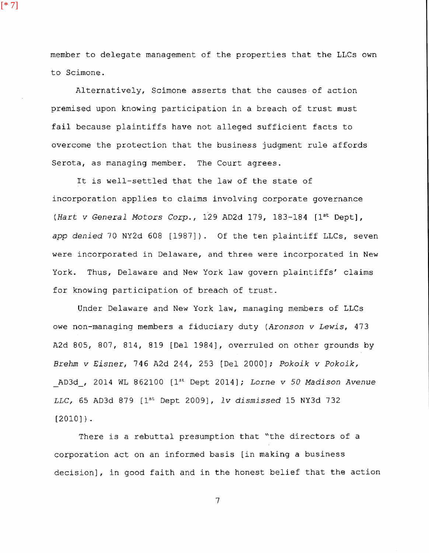member to delegate management of the properties that the LLCs own to Scimone.

[\* 7]

Alternatively, Scimone asserts that the causes of action premised upon knowing participation in a breach of trust must fail because plaintiffs have not alleged sufficient facts to overcome the protection that the business judgment rule affords Serota, as managing member. The Court agrees.

It is well-settled that the law of the state of incorporation applies to claims involving corporate governance *(Hart v General Motors Corp.,* 129 AD2d 179, 183-184 [1st Dept], *app denied* 70 NY2d 608 [1987]). Of the ten plaintiff LLCs, seven were incorporated in Delaware, and three were incorporated in New York. Thus, Delaware and New York law govern plaintiffs' claims for knowing participation of breach of trust.

Under Delaware and New York law, managing members of LLCs owe non-managing members a fiduciary duty *{Aronson v Lewis,* 473 A2d 805, 807, 814, 819 [Del 1984], overruled on other grounds by *Brehm v Eisner,* 746 A2d 244, 253 [Del 2000]; *Pokoik v Pokoik,*  AD3d, 2014 WL 862100 [1st Dept 2014]; Lorne *v 50 Madison Avenue LLC,* 65 AD3d 879 [ Dept 2009), *lv dismissed* 15 NY3d 732  $[2010]$ .

There is a rebuttal presumption that "the directors of a corporation act on an informed basis [in making a business decision], in good faith and in the honest belief that the action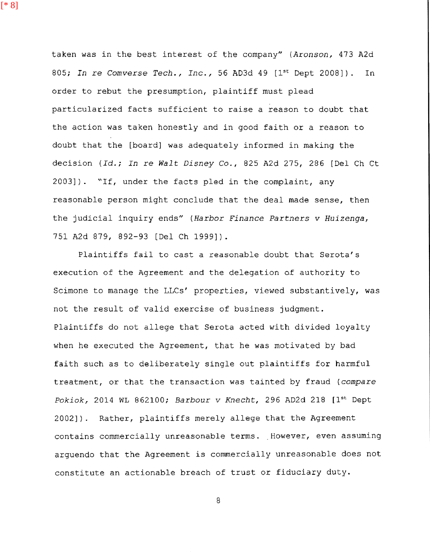[\* 8]

taken was in the best interest of the company" *(Aronson,* 473 A2d 805; In re Comverse Tech., Inc., 56 AD3d 49 [1<sup>st</sup> Dept 2008]). In order to rebut the presumption, plaintiff must plead particularized facts sufficient to raise a reason to doubt that the action was taken honestly and in good faith or a reason to doubt that the [board] was adequately informed in making the decision *(Id.; In* re *Walt Disney* Co., 825 A2d 275, 286 [Del Ch Ct 2003]). "If, under the facts pled in the complaint, any reasonable person might conclude that the deal made sense, then the judicial inquiry ends" *(Harbor Finance Partners v Huizenga,*  751 A2d 879, 892-93 [Del Ch 1999]).

Plaintiffs fail to cast a reasonable doubt that Serota's execution of the Agreement and the delegation of authority to Scimone to manage the LLCs' properties, viewed substantively, was not the result of valid exercise of business judgment. Plaintiffs do not allege that Serota acted with divided loyalty when he executed the Agreement, that he was motivated by bad faith such as to deliberately single out plaintiffs for harmful treatment, or that the transaction was tainted by fraud *(compare Pokiok,* 2014 WL 862100; *Barbour v Knecht,* 296 AD2d 218 [1st Dept 2002]). Rather, plaintiffs merely allege that the Agreement contains commercially unreasonable terms. However, even assuming arguendo that the Agreement is commercially unreasonable does not constitute an actionable breach of trust or fiduciary duty.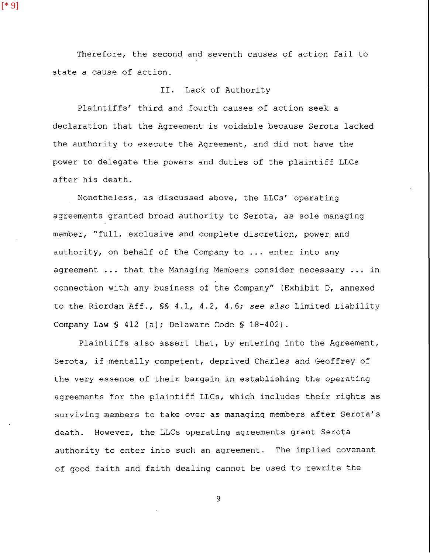Therefore, the second and seventh causes of action fail to state a cause of action.

[\* 9]

# II. Lack of Authority

Plaintiffs' third and fourth causes of action seek a declaration that the Agreement is voidable because Serota lacked the authority to execute the Agreement, and did not have the power to delegate the powers and duties of the plaintiff LLCs after his death.

Nonetheless, as discussed above, the LLCs' operating agreements granted broad authority to Serota, as sole managing member, "full, exclusive and complete discretion, power and authority, on behalf of the Company to ... enter into any agreement  $\ldots$  that the Managing Members consider necessary  $\ldots$  in connection with any business of the Company" (Exhibit D, annexed to the Riordan Aff., §§ 4.1, 4.2, 4.6; *see also* Limited Liability Company Law § 412 [a]; Delaware Code § 18-402).

Plaintiffs also assert that, by entering into the Agreement, Serota, if mentally competent, deprived Charles and Geoffrey of the very essence of their bargain in establishing the operating agreements for the plaintiff LLCs, which includes their rights as surviving members to take over as managing members after Serota's death. However, the LLCs operating agreements grant Serota authority to enter into such an agreement. The implied covenant of good faith and faith dealing cannot be used to rewrite the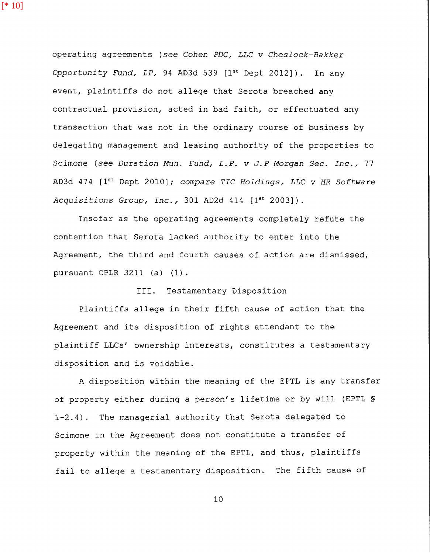[\* 10]

operating agreements *(see Cohen PDC, LLC v Cheslock-Bakker Opportunity Fund, LP,* 94 AD3d 539 [1<sup>st</sup> Dept 2012]). In any event, plaintiffs do not allege that Serota breached any contractual provision, acted in bad faith, or effectuated any transaction that was not in the ordinary course of business by delegating management and leasing authority of the properties to Scimone (see *Duration Mun. Fund, L.P. v J.P Morgan Sec. Inc.,* 77 AD3d 474 [1st Dept 2010); *compare TIC Holdings, LLC v HR Software Acquisitions Group, Inc.,* 301 AD2d 414 [1st 2003]).

Insofar as the operating agreements completely refute the contention that Serota lacked authority to enter into the Agreement, the third and fourth causes of action are dismissed, pursuant CPLR 3211 (a) (1).

## III. Testamentary Disposition

Plaintiffs allege in their fifth cause of action that the Agreement and its disposition of rights attendant to the plaintiff LLCs' ownership interests, constitutes a testamentary disposition and is voidable.

A disposition within the meaning of the EPTL is any transfer of property either during a person's lifetime or by will (EPTL *§*  1-2.4). The managerial authority that Serota delegated to Scimone in the Agreement does not constitute a transfer of property within the meaning of the EPTL, and thus, plaintiffs fail to allege a testamentary disposition. The fifth cause of